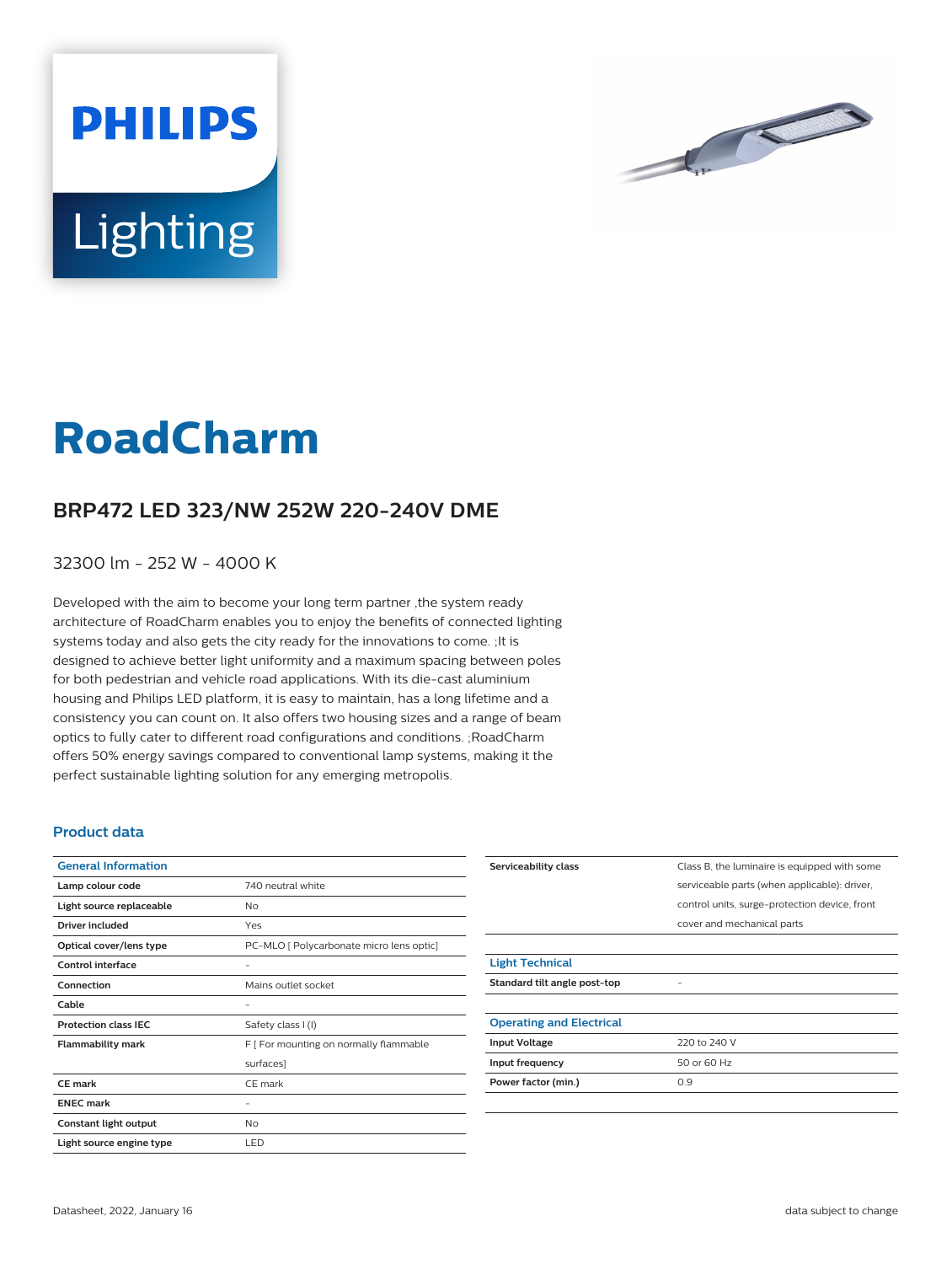



# **RoadCharm**

## **BRP472 LED 323/NW 252W 220-240V DME**

#### 32300 lm - 252 W - 4000 K

Developed with the aim to become your long term partner ,the system ready architecture of RoadCharm enables you to enjoy the benefits of connected lighting systems today and also gets the city ready for the innovations to come. ;It is designed to achieve better light uniformity and a maximum spacing between poles for both pedestrian and vehicle road applications. With its die-cast aluminium housing and Philips LED platform, it is easy to maintain, has a long lifetime and a consistency you can count on. It also offers two housing sizes and a range of beam optics to fully cater to different road configurations and conditions. ;RoadCharm offers 50% energy savings compared to conventional lamp systems, making it the perfect sustainable lighting solution for any emerging metropolis.

#### **Product data**

| <b>General Information</b>  |                                          |
|-----------------------------|------------------------------------------|
| Lamp colour code            | 740 neutral white                        |
| Light source replaceable    | No                                       |
| <b>Driver included</b>      | Yes                                      |
| Optical cover/lens type     | PC-MLO [ Polycarbonate micro lens optic] |
| Control interface           |                                          |
| Connection                  | Mains outlet socket                      |
| Cable                       |                                          |
| <b>Protection class IEC</b> | Safety class I (I)                       |
| <b>Flammability mark</b>    | F [ For mounting on normally flammable   |
|                             | surfaces]                                |
| CF mark                     | CE mark                                  |
| <b>ENEC mark</b>            |                                          |
| Constant light output       | No                                       |
| Light source engine type    | LED                                      |

| Serviceability class            | Class B, the luminaire is equipped with some  |
|---------------------------------|-----------------------------------------------|
|                                 | serviceable parts (when applicable): driver,  |
|                                 | control units, surge-protection device, front |
|                                 | cover and mechanical parts                    |
|                                 |                                               |
| <b>Light Technical</b>          |                                               |
| Standard tilt angle post-top    |                                               |
|                                 |                                               |
| <b>Operating and Electrical</b> |                                               |
| <b>Input Voltage</b>            | 220 to 240 V                                  |
| Input frequency                 | 50 or 60 Hz                                   |
| Power factor (min.)             | 0.9                                           |
|                                 |                                               |